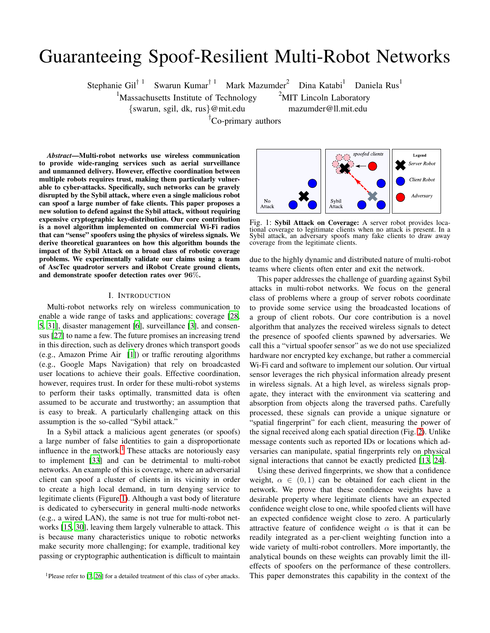# Guaranteeing Spoof-Resilient Multi-Robot Networks

Stephanie Gil<sup>† 1</sup> Swarun Kumar<sup>† 1</sup> Mark Mazumder<sup>2</sup> Dina Katabi<sup>1</sup> Daniela Rus<sup>1</sup>

 $1$ Massachusetts Institute of Technology  $2$ MIT Lincoln Laboratory

{swarun, sgil, dk, rus}@mit.edu mazumder@ll.mit.edu

<sup>T</sup>Co-primary authors

N<sub>0</sub> Attack

*Abstract*—Multi-robot networks use wireless communication to provide wide-ranging services such as aerial surveillance and unmanned delivery. However, effective coordination between multiple robots requires trust, making them particularly vulnerable to cyber-attacks. Specifically, such networks can be gravely disrupted by the Sybil attack, where even a single malicious robot can spoof a large number of fake clients. This paper proposes a new solution to defend against the Sybil attack, without requiring expensive cryptographic key-distribution. Our core contribution is a novel algorithm implemented on commercial Wi-Fi radios that can "sense" spoofers using the physics of wireless signals. We derive theoretical guarantees on how this algorithm bounds the impact of the Sybil Attack on a broad class of robotic coverage problems. We experimentally validate our claims using a team of AscTec quadrotor servers and iRobot Create ground clients, and demonstrate spoofer detection rates over 96%.

#### I. INTRODUCTION

Multi-robot networks rely on wireless communication to enable a wide range of tasks and applications: coverage [\[28,](#page-9-0) [5](#page-8-0), [31\]](#page-9-1), disaster management [\[6](#page-8-1)], surveillance [\[3\]](#page-8-2), and consensus [\[27](#page-9-2)] to name a few. The future promises an increasing trend in this direction, such as delivery drones which transport goods (e.g., Amazon Prime Air [\[1](#page-8-3)]) or traffic rerouting algorithms (e.g., Google Maps Navigation) that rely on broadcasted user locations to achieve their goals. Effective coordination, however, requires trust. In order for these multi-robot systems to perform their tasks optimally, transmitted data is often assumed to be accurate and trustworthy; an assumption that is easy to break. A particularly challenging attack on this assumption is the so-called "Sybil attack."

In a Sybil attack a malicious agent generates (or spoofs) a large number of false identities to gain a disproportionate influence in the network.<sup>[1](#page-0-0)</sup> These attacks are notoriously easy to implement [\[33\]](#page-9-3) and can be detrimental to multi-robot networks. An example of this is coverage, where an adversarial client can spoof a cluster of clients in its vicinity in order to create a high local demand, in turn denying service to legitimate clients (Figure [1\)](#page-0-1). Although a vast body of literature is dedicated to cybersecurity in general multi-node networks (e.g., a wired LAN), the same is not true for multi-robot networks [\[15](#page-8-4), [30\]](#page-9-4), leaving them largely vulnerable to attack. This is because many characteristics unique to robotic networks make security more challenging; for example, traditional key passing or cryptographic authentication is difficult to maintain

<span id="page-0-1"></span>

Svbil

Attack

Fig. 1: Sybil Attack on Coverage: A server robot provides locational coverage to legitimate clients when no attack is present. In a Sybil attack, an adversary spoofs many fake clients to draw away coverage from the legitimate clients.

due to the highly dynamic and distributed nature of multi-robot teams where clients often enter and exit the network.

This paper addresses the challenge of guarding against Sybil attacks in multi-robot networks. We focus on the general class of problems where a group of server robots coordinate to provide some service using the broadcasted locations of a group of client robots. Our core contribution is a novel algorithm that analyzes the received wireless signals to detect the presence of spoofed clients spawned by adversaries. We call this a "virtual spoofer sensor" as we do not use specialized hardware nor encrypted key exchange, but rather a commercial Wi-Fi card and software to implement our solution. Our virtual sensor leverages the rich physical information already present in wireless signals. At a high level, as wireless signals propagate, they interact with the environment via scattering and absorption from objects along the traversed paths. Carefully processed, these signals can provide a unique signature or "spatial fingerprint" for each client, measuring the power of the signal received along each spatial direction (Fig. [2\)](#page-1-0). Unlike message contents such as reported IDs or locations which adversaries can manipulate, spatial fingerprints rely on physical signal interactions that cannot be exactly predicted [\[13,](#page-8-6) [24\]](#page-8-7).

Using these derived fingerprints, we show that a confidence weight,  $\alpha \in (0,1)$  can be obtained for each client in the network. We prove that these confidence weights have a desirable property where legitimate clients have an expected confidence weight close to one, while spoofed clients will have an expected confidence weight close to zero. A particularly attractive feature of confidence weight  $\alpha$  is that it can be readily integrated as a per-client weighting function into a wide variety of multi-robot controllers. More importantly, the analytical bounds on these weights can provably limit the illeffects of spoofers on the performance of these controllers. This paper demonstrates this capability in the context of the

<span id="page-0-0"></span><sup>&</sup>lt;sup>1</sup>Please refer to [\[7,](#page-8-5) [26\]](#page-9-5) for a detailed treatment of this class of cyber attacks.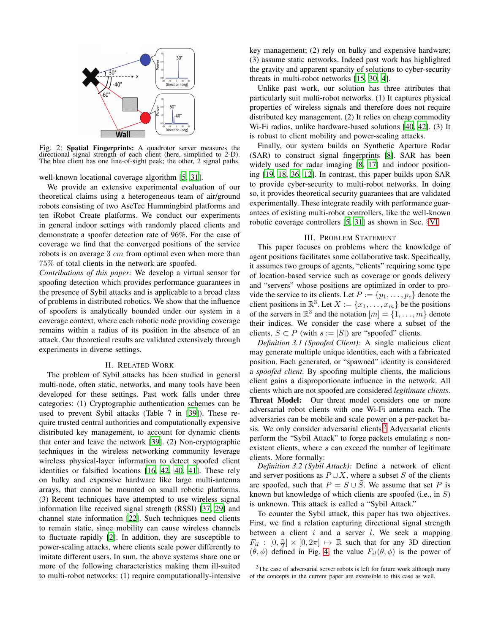<span id="page-1-0"></span>

Fig. 2: Spatial Fingerprints: A quadrotor server measures the directional signal strength of each client (here, simplified to 2-D). The blue client has one line-of-sight peak; the other, 2 signal paths.

well-known locational coverage algorithm [\[5](#page-8-0), [31](#page-9-1)].

We provide an extensive experimental evaluation of our theoretical claims using a heterogeneous team of air/ground robots consisting of two AscTec Hummingbird platforms and ten iRobot Create platforms. We conduct our experiments in general indoor settings with randomly placed clients and demonstrate a spoofer detection rate of 96%. For the case of coverage we find that the converged positions of the service robots is on average  $3 \, cm$  from optimal even when more than 75% of total clients in the network are spoofed.

*Contributions of this paper:* We develop a virtual sensor for spoofing detection which provides performance guarantees in the presence of Sybil attacks and is applicable to a broad class of problems in distributed robotics. We show that the influence of spoofers is analytically bounded under our system in a coverage context, where each robotic node providing coverage remains within a radius of its position in the absence of an attack. Our theoretical results are validated extensively through experiments in diverse settings.

#### II. RELATED WORK

The problem of Sybil attacks has been studied in general multi-node, often static, networks, and many tools have been developed for these settings. Past work falls under three categories: (1) Cryptographic authentication schemes can be used to prevent Sybil attacks (Table 7 in [\[39\]](#page-9-6)). These require trusted central authorities and computationally expensive distributed key management, to account for dynamic clients that enter and leave the network [\[39](#page-9-6)]. (2) Non-cryptographic techniques in the wireless networking community leverage wireless physical-layer information to detect spoofed client identities or falsified locations [\[16,](#page-8-8) [42](#page-9-7), [40](#page-9-8), [41\]](#page-9-9). These rely on bulky and expensive hardware like large multi-antenna arrays, that cannot be mounted on small robotic platforms. (3) Recent techniques have attempted to use wireless signal information like received signal strength (RSSI) [\[37,](#page-9-10) [29\]](#page-9-11) and channel state information [\[22\]](#page-8-9). Such techniques need clients to remain static, since mobility can cause wireless channels to fluctuate rapidly [\[2\]](#page-8-10). In addition, they are susceptible to power-scaling attacks, where clients scale power differently to imitate different users. In sum, the above systems share one or more of the following characteristics making them ill-suited to multi-robot networks: (1) require computationally-intensive key management; (2) rely on bulky and expensive hardware; (3) assume static networks. Indeed past work has highlighted the gravity and apparent sparsity of solutions to cyber-security threats in multi-robot networks [\[15,](#page-8-4) [30](#page-9-4), [4](#page-8-11)].

Unlike past work, our solution has three attributes that particularly suit multi-robot networks. (1) It captures physical properties of wireless signals and therefore does not require distributed key management. (2) It relies on cheap commodity Wi-Fi radios, unlike hardware-based solutions [\[40,](#page-9-8) [42\]](#page-9-7). (3) It is robust to client mobility and power-scaling attacks.

Finally, our system builds on Synthetic Aperture Radar (SAR) to construct signal fingerprints [\[8\]](#page-8-12). SAR has been widely used for radar imaging [\[8](#page-8-12), [17](#page-8-13)] and indoor positioning [\[19,](#page-8-14) [18,](#page-8-15) [36,](#page-9-12) [12\]](#page-8-16). In contrast, this paper builds upon SAR to provide cyber-security to multi-robot networks. In doing so, it provides theoretical security guarantees that are validated experimentally. These integrate readily with performance guarantees of existing multi-robot controllers, like the well-known robotic coverage controllers [\[5](#page-8-0), [31](#page-9-1)] as shown in Sec. §[VI.](#page-5-0)

# III. PROBLEM STATEMENT

<span id="page-1-2"></span>This paper focuses on problems where the knowledge of agent positions facilitates some collaborative task. Specifically, it assumes two groups of agents, "clients" requiring some type of location-based service such as coverage or goods delivery and "servers" whose positions are optimized in order to provide the service to its clients. Let  $P := \{p_1, \ldots, p_c\}$  denote the client positions in  $\mathbb{R}^3$ . Let  $X := \{x_1, \ldots, x_m\}$  be the positions of the servers in  $\mathbb{R}^3$  and the notation  $[m] = \{1, \ldots, m\}$  denote their indices. We consider the case where a subset of the clients,  $S \subset P$  (with  $s := |S|$ ) are "spoofed" clients.

*Definition 3.1 (Spoofed Client):* A single malicious client may generate multiple unique identities, each with a fabricated position. Each generated, or "spawned" identity is considered a *spoofed client*. By spoofing multiple clients, the malicious client gains a disproportionate influence in the network. All clients which are not spoofed are considered *legitimate clients*. Threat Model: Our threat model considers one or more adversarial robot clients with one Wi-Fi antenna each. The adversaries can be mobile and scale power on a per-packet ba-sis. We only consider adversarial clients.<sup>[2](#page-1-1)</sup> Adversarial clients perform the "Sybil Attack" to forge packets emulating s nonexistent clients, where  $s$  can exceed the number of legitimate clients. More formally:

*Definition 3.2 (Sybil Attack):* Define a network of client and server positions as  $P \cup X$ , where a subset S of the clients are spoofed, such that  $P = S \cup \tilde{S}$ . We assume that set P is known but knowledge of which clients are spoofed (i.e., in S) is unknown. This attack is called a "Sybil Attack."

To counter the Sybil attack, this paper has two objectives. First, we find a relation capturing directional signal strength between a client  $i$  and a server  $l$ . We seek a mapping  $F_{il}$ :  $[0, \frac{\pi}{2}] \times [0, 2\pi] \rightarrow \mathbb{R}$  such that for any 3D direction  $(\theta, \phi)$  defined in Fig. [4,](#page-3-0) the value  $F_{il}(\theta, \phi)$  is the power of

<span id="page-1-1"></span><sup>2</sup>The case of adversarial server robots is left for future work although many of the concepts in the current paper are extensible to this case as well.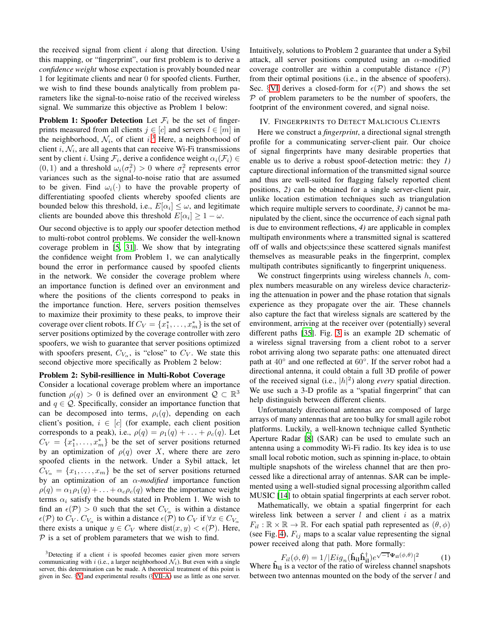the received signal from client  $i$  along that direction. Using this mapping, or "fingerprint", our first problem is to derive a *confidence weight* whose expectation is provably bounded near 1 for legitimate clients and near 0 for spoofed clients. Further, we wish to find these bounds analytically from problem parameters like the signal-to-noise ratio of the received wireless signal. We summarize this objective as Problem 1 below:

**Problem 1: Spoofer Detection** Let  $\mathcal{F}_i$  be the set of fingerprints measured from all clients  $j \in [c]$  and servers  $l \in [m]$  in the neighborhood,  $\mathcal{N}_i$ , of client  $i$ .<sup>[3](#page-2-0)</sup> Here, a neighborhood of client i,  $N_i$ , are all agents that can receive Wi-Fi transmissions sent by client *i*. Using  $\mathcal{F}_i$ , derive a confidence weight  $\alpha_i(\mathcal{F}_i) \in$  $(0, 1)$  and a threshold  $\omega_i(\sigma_i^2) > 0$  where  $\sigma_i^2$  represents error variances such as the signal-to-noise ratio that are assumed to be given. Find  $\omega_i(\cdot)$  to have the provable property of differentiating spoofed clients whereby spoofed clients are bounded below this threshold, i.e.,  $E[\alpha_i] \leq \omega$ , and legitimate clients are bounded above this threshold  $E[\alpha_i] \geq 1 - \omega$ .

Our second objective is to apply our spoofer detection method to multi-robot control problems. We consider the well-known coverage problem in [\[5](#page-8-0), [31\]](#page-9-1). We show that by integrating the confidence weight from Problem 1, we can analytically bound the error in performance caused by spoofed clients in the network. We consider the coverage problem where an importance function is defined over an environment and where the positions of the clients correspond to peaks in the importance function. Here, servers position themselves to maximize their proximity to these peaks, to improve their coverage over client robots. If  $C_V = \{x_1^*, \ldots, x_m^*\}$  is the set of server positions optimized by the coverage controller with zero spoofers, we wish to guarantee that server positions optimized with spoofers present,  $C_{V_{\alpha}}$ , is "close" to  $C_V$ . We state this second objective more specifically as Problem 2 below:

#### Problem 2: Sybil-resillience in Multi-Robot Coverage

Consider a locational coverage problem where an importance function  $\rho(q) > 0$  is defined over an environment  $\mathcal{Q} \subset \mathbb{R}^3$ and  $q \in \mathcal{Q}$ . Specifically, consider an importance function that can be decomposed into terms,  $\rho_i(q)$ , depending on each client's position,  $i \in [c]$  (for example, each client position corresponds to a peak), i.e.,  $\rho(q) = \rho_1(q) + \ldots + \rho_c(q)$ . Let  $C_V = \{x_1^*, \ldots, x_m^*\}$  be the set of server positions returned by an optimization of  $\rho(q)$  over X, where there are zero spoofed clients in the network. Under a Sybil attack, let  $C_{V_{\alpha}} = \{x_1, \ldots, x_m\}$  be the set of server positions returned by an optimization of an α-*modified* importance function  $\rho(q) = \alpha_1 \rho_1(q) + \ldots + \alpha_c \rho_c(q)$  where the importance weight terms  $\alpha_i$  satisfy the bounds stated in Problem 1. We wish to find an  $\epsilon(\mathcal{P}) > 0$  such that the set  $C_{V_{\alpha}}$  is within a distance  $\epsilon(\mathcal{P})$  to  $C_V$ .  $C_{V_\alpha}$  is within a distance  $\epsilon(\mathcal{P})$  to  $C_V$  if  $\forall x \in C_{V_\alpha}$ there exists a unique  $y \in C_V$  where dist $(x, y) < \epsilon(\mathcal{P})$ . Here,  $P$  is a set of problem parameters that we wish to find.

Intuitively, solutions to Problem 2 guarantee that under a Sybil attack, all server positions computed using an  $\alpha$ -modified coverage controller are within a computable distance  $\epsilon(\mathcal{P})$ from their optimal positions (i.e., in the absence of spoofers). Sec. §[VI](#page-5-0) derives a closed-form for  $\epsilon(\mathcal{P})$  and shows the set  $P$  of problem parameters to be the number of spoofers, the footprint of the environment covered, and signal noise.

#### <span id="page-2-2"></span>IV. FINGERPRINTS TO DETECT MALICIOUS CLIENTS

Here we construct a *fingerprint*, a directional signal strength profile for a communicating server-client pair. Our choice of signal fingerprints have many desirable properties that enable us to derive a robust spoof-detection metric: they *1)* capture directional information of the transmitted signal source and thus are well-suited for flagging falsely reported client positions, *2)* can be obtained for a single server-client pair, unlike location estimation techniques such as triangulation which require multiple servers to coordinate, *3)* cannot be manipulated by the client, since the occurrence of each signal path is due to environment reflections, *4)* are applicable in complex multipath environments where a transmitted signal is scattered off of walls and objects;since these scattered signals manifest themselves as measurable peaks in the fingerprint, complex multipath contributes significantly to fingerprint uniqueness.

We construct fingerprints using wireless channels  $h$ , complex numbers measurable on any wireless device characterizing the attenuation in power and the phase rotation that signals experience as they propagate over the air. These channels also capture the fact that wireless signals are scattered by the environment, arriving at the receiver over (potentially) several different paths [\[35\]](#page-9-13). Fig. [3](#page-3-0) is an example 2D schematic of a wireless signal traversing from a client robot to a server robot arriving along two separate paths: one attenuated direct path at 40° and one reflected at 60°. If the server robot had a directional antenna, it could obtain a full 3D profile of power of the received signal (i.e.,  $|h|^2$ ) along *every* spatial direction. We use such a 3-D profile as a "spatial fingerprint" that can help distinguish between different clients.

Unfortunately directional antennas are composed of large arrays of many antennas that are too bulky for small agile robot platforms. Luckily, a well-known technique called Synthetic Aperture Radar [\[8\]](#page-8-12) (SAR) can be used to emulate such an antenna using a commodity Wi-Fi radio. Its key idea is to use small local robotic motion, such as spinning in-place, to obtain multiple snapshots of the wireless channel that are then processed like a directional array of antennas. SAR can be implemented using a well-studied signal processing algorithm called MUSIC [\[14\]](#page-8-17) to obtain spatial fingerprints at each server robot.

Mathematically, we obtain a spatial fingerprint for each wireless link between a server  $l$  and client  $i$  as a matrix  $F_{il} : \mathbb{R} \times \mathbb{R} \to \mathbb{R}$ . For each spatial path represented as  $(\theta, \phi)$ (see Fig. [4\)](#page-3-0),  $F_{ij}$  maps to a scalar value representing the signal power received along that path. More formally:

<span id="page-2-1"></span>
$$
F_{il}(\phi, \theta) = 1/|Eig_n(\hat{\mathbf{h}}_{il}\hat{\mathbf{h}}_{il}^{\dagger})e^{\sqrt{-1}\Psi_{il}(\phi, \theta)}|^2
$$
 (1)  
Where  $\hat{\mathbf{h}}_{il}$  is a vector of the ratio of wireless channel snapshots

between two antennas mounted on the body of the server l and

<span id="page-2-0"></span> $3$ Detecting if a client i is spoofed becomes easier given more servers communicating with i (i.e., a larger neighborhood  $\mathcal{N}_i$ ). But even with a single server, this determination can be made. A theoretical treatment of this point is given in Sec. §[V](#page-3-1) and experimental results (§[VII-A\)](#page-6-0) use as little as one server.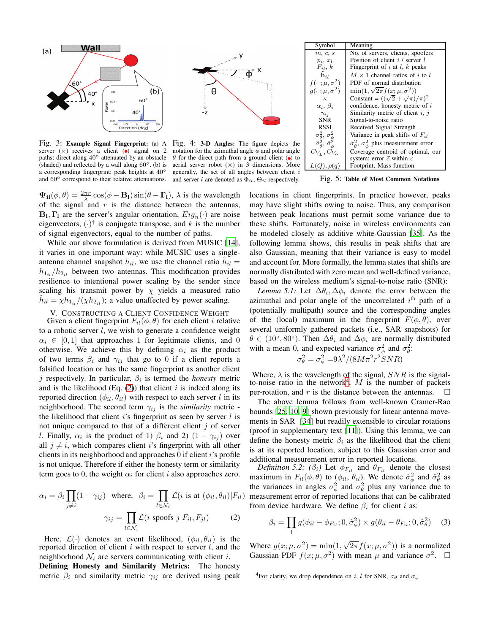<span id="page-3-0"></span>

Fig. 3: Example Signal Fingerprint: (a) A Fig. 4: 3-D Angles: The figure depicts the server  $(x)$  receives a client  $\omega$  signal on 2 paths: direct along 40◦ attenuated by an obstacle (shaded) and reflected by a wall along  $60°$ . (b) is a corresponding fingerprint: peak heights at 40◦ and 60° correspond to their relative attenuations.



notation for the azimuthal angle  $\phi$  and polar angle  $\theta$  for the direct path from a ground client ( $\bullet$ ) to aerial server robot  $(x)$  in 3 dimensions. More generally, the set of all angles between client  $i$ and server l are denoted as  $\Phi_{il}$ ,  $\Theta_{il}$  respectively.

 $\Psi_{il}(\phi, \theta) = \frac{2\pi r}{\lambda} \cos(\phi - B_l) \sin(\theta - \Gamma_l)$ ,  $\lambda$  is the wavelength of the signal and  $r$  is the distance between the antennas,  $\mathbf{B}_1, \mathbf{\Gamma}_1$  are the server's angular orientation,  $Eig_n(\cdot)$  are noise eigenvectors,  $(\cdot)^\dagger$  is conjugate transpose, and k is the number of signal eigenvectors, equal to the number of paths.

While our above formulation is derived from MUSIC [\[14](#page-8-17)], it varies in one important way: while MUSIC uses a singleantenna channel snapshot  $h_{il}$ , we use the channel ratio  $\hat{h}_{il}$  =  $h_{1il}/h_{2il}$  between two antennas. This modification provides resilience to intentional power scaling by the sender since scaling his transmit power by  $\chi$  yields a measured ratio  $\hat{h}_{il} = \chi h_{1il}/(\chi h_{2il})$ ; a value unaffected by power scaling.

# <span id="page-3-1"></span>V. CONSTRUCTING A CLIENT CONFIDENCE WEIGHT

Given a client fingerprint  $F_{il}(\phi, \theta)$  for each client *i* relative to a robotic server l, we wish to generate a confidence weight  $\alpha_i \in [0, 1]$  that approaches 1 for legitimate clients, and 0 otherwise. We achieve this by defining  $\alpha_i$  as the product of two terms  $\beta_i$  and  $\gamma_{ij}$  that go to 0 if a client reports a falsified location or has the same fingerprint as another client  $j$  respectively. In particular,  $\beta_i$  is termed the *honesty* metric and is the likelihood (Eq.  $(2)$ ) that client i is indeed along its reported direction  $(\phi_{il}, \theta_{il})$  with respect to each server l in its neighborhood. The second term  $\gamma_{ij}$  is the *similarity* metric the likelihood that client  $i$ 's fingerprint as seen by server  $l$  is not unique compared to that of a different client  $j$  of server l. Finally,  $\alpha_i$  is the product of 1)  $\beta_i$  and 2)  $(1 - \gamma_{ij})$  over all  $j \neq i$ , which compares client i's fingerprint with all other clients in its neighborhood and approaches  $\theta$  if client i's profile is not unique. Therefore if either the honesty term or similarity term goes to 0, the weight  $\alpha_i$  for client *i* also approaches zero.

$$
\alpha_i = \beta_i \prod_{j \neq i} (1 - \gamma_{ij}) \text{ where, } \beta_i = \prod_{l \in \mathcal{N}_i} \mathcal{L}(i \text{ is at } (\phi_{il}, \theta_{il}) | F_{il})
$$

$$
\gamma_{ij} = \prod_{l \in \mathcal{N}_i} \mathcal{L}(i \text{ spots } j | F_{il}, F_{jl}) \tag{2}
$$

Here,  $\mathcal{L}(\cdot)$  denotes an event likelihood,  $(\phi_{il}, \theta_{il})$  is the reported direction of client  $i$  with respect to server  $l$ , and the neighborhood  $\mathcal{N}_i$  are servers communicating with client *i*.

Defining Honesty and Similarity Metrics: The honesty metric  $\beta_i$  and similarity metric  $\gamma_{ij}$  are derived using peak

| Symbol                                              | Meaning                                                        |  |  |  |
|-----------------------------------------------------|----------------------------------------------------------------|--|--|--|
| m, c, s                                             | No. of servers, clients, spoofers                              |  |  |  |
| $p_i, x_l$                                          | Position of client $i /$ server $l$                            |  |  |  |
| $F_{il}$ , $k$                                      | Fingerprint of i at l, k peaks                                 |  |  |  |
| $\hat{\mathbf{h}}_{il}$                             | $M \times 1$ channel ratios of i to l                          |  |  |  |
| $f(\cdot;\mu,\sigma^2)$                             | PDF of normal distribution                                     |  |  |  |
| $g(\cdot;\mu,\sigma^2)$                             | $\min(1, \sqrt{2\pi} f(x; \mu, \sigma^2))$                     |  |  |  |
| $\kappa$                                            | Constant = $((\sqrt{2} + \sqrt{\pi})/\pi)^2$                   |  |  |  |
| $\alpha_i, \beta_i$                                 | confidence, honesty metric of i                                |  |  |  |
| $\gamma_{ii}$                                       | Similarity metric of client $i, j$                             |  |  |  |
| <b>SNR</b>                                          | Signal-to-noise ratio                                          |  |  |  |
| <b>RSSI</b>                                         | Received Signal Strength                                       |  |  |  |
| $\sigma_{\theta}^2$ , $\sigma_{\phi}^2$             | Variance in peak shifts of $F_{il}$                            |  |  |  |
| $\hat{\sigma}_{\theta}^2$ , $\hat{\sigma}_{\phi}^2$ | $\sigma_{\theta}^2$ , $\sigma_{\phi}^2$ plus measurement error |  |  |  |
| $C_{V_L}, C_{V_{\alpha}}$                           | Coverage centroid of optimal, our                              |  |  |  |
|                                                     | system; error $\vec{e}$ within $\epsilon$                      |  |  |  |
| Footprint, Mass function<br>$L(Q), \rho(q)$         |                                                                |  |  |  |

<span id="page-3-4"></span>Fig. 5: Table of Most Common Notations

locations in client fingerprints. In practice however, peaks may have slight shifts owing to noise. Thus, any comparison between peak locations must permit some variance due to these shifts. Fortunately, noise in wireless environments can be modeled closely as additive white-Gaussian [\[35](#page-9-13)]. As the following lemma shows, this results in peak shifts that are also Gaussian, meaning that their variance is easy to model and account for. More formally, the lemma states that shifts are normally distributed with zero mean and well-defined variance, based on the wireless medium's signal-to-noise ratio (SNR):

*Lemma 5.1:* Let  $\Delta\theta_i$ ,  $\Delta\phi_i$  denote the error between the azimuthal and polar angle of the uncorrelated  $i<sup>th</sup>$  path of a (potentially multipath) source and the corresponding angles of the (local) maximum in the fingerprint  $F(\phi, \theta)$ , over several uniformly gathered packets (i.e., SAR snapshots) for  $\theta \in (10^{\circ}, 80^{\circ})$ . Then  $\Delta \theta_i$  and  $\Delta \phi_i$  are normally distributed with a mean 0, and expected variance  $\sigma_{\phi}^2$  and  $\sigma_{\theta}^2$ :

<span id="page-3-5"></span>
$$
\sigma_{\theta}^2 = \sigma_{\phi}^2 = 9\lambda^2/(8M\pi^2 r^2 SNR)
$$

Where,  $\lambda$  is the wavelength of the signal,  $SNR$  is the signal-to-noise ratio in the network<sup>[4](#page-3-3)</sup>, M is the number of packets per-rotation, and r is the distance between the antennas.  $\Box$ 

The above lemma follows from well-known Cramer-Rao bounds [\[25](#page-9-14), [10,](#page-8-18) [9](#page-8-19)] shown previously for linear antenna movements in SAR [\[34](#page-9-15)] but readily extensible to circular rotations (proof in supplementary text [\[11](#page-8-20)]). Using this lemma, we can define the honesty metric  $\beta_i$  as the likelihood that the client is at its reported location, subject to this Gaussian error and additional measurement error in reported locations.

*Definition 5.2:* ( $\beta_i$ ) Let  $\phi_{F_{i_l}}$  and  $\theta_{F_{i_l}}$  denote the closest maximum in  $F_{il}(\phi, \theta)$  to  $(\phi_{il}, \theta_{il})$ . We denote  $\hat{\sigma}^2_{\phi}$  and  $\hat{\sigma}^2_{\theta}$  as the variances in angles  $\sigma_{\phi}^2$  and  $\sigma_{\theta}^2$  plus any variance due to measurement error of reported locations that can be calibrated from device hardware. We define  $\beta_i$  for client *i* as:

<span id="page-3-6"></span>
$$
\beta_i = \prod_l g(\phi_{il} - \phi_{F_{il}}; 0, \hat{\sigma}_{\phi}^2) \times g(\theta_{il} - \theta_{F_{il}}; 0, \hat{\sigma}_{\theta}^2)
$$
 (3)

<span id="page-3-2"></span>Where  $g(x; \mu, \sigma^2) = \min(1, \sqrt{2\pi} f(x; \mu, \sigma^2))$  is a normalized Gaussian PDF  $f(x; \mu, \sigma^2)$  with mean  $\mu$  and variance  $\sigma^2$ .  $\Box$ 

<span id="page-3-3"></span><sup>4</sup>For clarity, we drop dependence on i, l for SNR,  $\sigma_{\theta}$  and  $\sigma_{\phi}$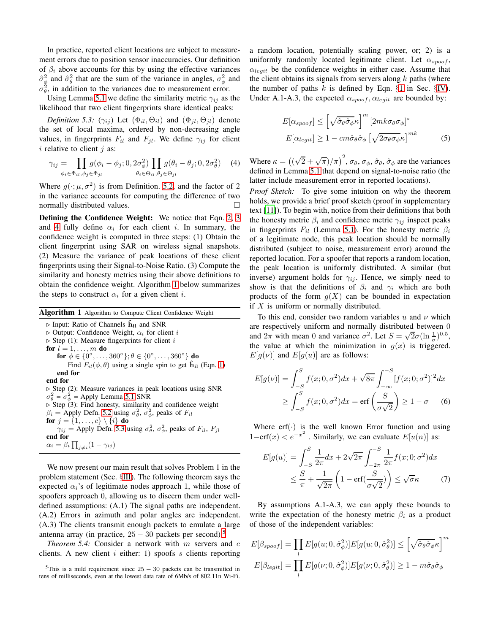In practice, reported client locations are subject to measurement errors due to position sensor inaccuracies. Our definition of  $\beta_i$  above accounts for this by using the effective variances  $\hat{\sigma}_{\phi}^2$  and  $\hat{\sigma}_{\theta}^2$  that are the sum of the variance in angles,  $\sigma_{\phi}^2$  and  $\sigma_{\theta}^2$ , in addition to the variances due to measurement error.

Using Lemma [5.1](#page-3-4) we define the similarity metric  $\gamma_{ij}$  as the likelihood that two client fingerprints share identical peaks:

*Definition 5.3:*  $(\gamma_{ij})$  Let  $(\Phi_{il}, \Theta_{il})$  and  $(\Phi_{jl}, \Theta_{jl})$  denote the set of local maxima, ordered by non-decreasing angle values, in fingerprints  $F_{il}$  and  $F_{jl}$ . We define  $\gamma_{ij}$  for client  $i$  relative to client  $j$  as:

$$
\gamma_{ij} = \prod_{\phi_i \in \Phi_{il}, \phi_j \in \Phi_{jl}} g(\phi_i - \phi_j; 0, 2\sigma_\phi^2) \prod_{\theta_i \in \Theta_{il}, \theta_j \in \Theta_{jl}} g(\theta_i - \theta_j; 0, 2\sigma_\theta^2)
$$
(4)

Where  $g(\cdot; \mu, \sigma^2)$  is from Definition. [5.2,](#page-3-5) and the factor of 2 in the variance accounts for computing the difference of two normally distributed values.

Defining the Confidence Weight: We notice that Eqn. [2,](#page-3-2) [3](#page-3-6) and [4](#page-4-0) fully define  $\alpha_i$  for each client i. In summary, the confidence weight is computed in three steps: (1) Obtain the client fingerprint using SAR on wireless signal snapshots. (2) Measure the variance of peak locations of these client fingerprints using their Signal-to-Noise Ratio. (3) Compute the similarity and honesty metrics using their above definitions to obtain the confidence weight. Algorithm [1](#page-4-1) below summarizes the steps to construct  $\alpha_i$  for a given client *i*.

<span id="page-4-1"></span>Algorithm 1 Algorithm to Compute Client Confidence Weight

 $\triangleright$  Input: Ratio of Channels  $\hat{h}_{i1}$  and SNR  $\triangleright$  Output: Confidence Weight,  $\alpha_i$  for client i  $\triangleright$  Step (1): Measure fingerprints for client i for  $l = 1, \ldots, m$  do for  $\phi \in \{0^{\circ}, \ldots, 360^{\circ}\}; \theta \in \{0^{\circ}, \ldots, 360^{\circ}\}\;$  do Find  $F_{il}(\phi, \theta)$  using a single spin to get  $\hat{h}_{il}$  (Eqn. [1\)](#page-2-1) end for end for ⊲ Step (2): Measure variances in peak locations using SNR  $\sigma_{\theta}^2 = \sigma_{\phi}^2$  = Apply Lemma [5.1](#page-3-4) SNR ⊲ Step (3): Find honesty, similarity and confidence weight  $\beta_i$  = Apply Defn. [5.2](#page-3-5) using  $\sigma_\theta^2$ ,  $\sigma_\phi^2$ , peaks of  $F_{il}$ for  $j = \{1, ..., c\} \setminus \{i\}$  do  $\gamma_{ij}$  = Apply Defn. [5.3](#page-4-2) using  $\sigma_{\theta}^2$ ,  $\sigma_{\phi}^2$ , peaks of  $F_{il}$ ,  $F_{jl}$ end for  $\alpha_i = \beta_i \prod_{j \neq i} (1 - \gamma_{ij})$ 

We now present our main result that solves Problem 1 in the problem statement (Sec. §[III\)](#page-1-2). The following theorem says the expected  $\alpha_i$ 's of legitimate nodes approach 1, while those of spoofers approach 0, allowing us to discern them under welldefined assumptions: (A.1) The signal paths are independent. (A.2) Errors in azimuth and polar angles are independent. (A.3) The clients transmit enough packets to emulate a large antenna array (in practice,  $25 - 30$  $25 - 30$  $25 - 30$  packets per second).<sup>5</sup>

<span id="page-4-5"></span>*Theorem 5.4:* Consider a network with m servers and c clients. A new client  $i$  either: 1) spoofs  $s$  clients reporting a random location, potentially scaling power, or; 2) is a uniformly randomly located legitimate client. Let  $\alpha_{\text{smooth}}$ ,  $\alpha_{\text{legit}}$  be the confidence weights in either case. Assume that the client obtains its signals from servers along  $k$  paths (where the number of paths  $k$  is defined by Eqn.  $\S1$  $\S1$  in Sec.  $\S1$ V). Under A.1-A.3, the expected  $\alpha_{spoof}, \alpha_{legit}$  are bounded by:

<span id="page-4-4"></span><span id="page-4-2"></span>
$$
E[\alpha_{spoof}] \leq \left[\sqrt{\hat{\sigma}_{\theta}\hat{\sigma}_{\phi}}\kappa\right]^{m} \left[2mk\sigma_{\theta}\sigma_{\phi}\right]^{s}
$$

$$
E[\alpha_{legit}] \geq 1 - cm\hat{\sigma}_{\theta}\hat{\sigma}_{\phi}\left[\sqrt{2\sigma_{\theta}\sigma_{\phi}}\kappa\right]^{mk}
$$
(5)

<span id="page-4-0"></span>Where  $\kappa = ((\sqrt{2} + \sqrt{\pi})/\pi)^2$ ,  $\sigma_{\theta}$ ,  $\sigma_{\phi}$ ,  $\hat{\sigma}_{\theta}$ ,  $\hat{\sigma}_{\phi}$  are the variances defined in Lemma [5.1](#page-3-4) that depend on signal-to-noise ratio (the latter include measurement error in reported locations).

*Proof Sketch:* To give some intuition on why the theorem holds, we provide a brief proof sketch (proof in supplementary text [\[11\]](#page-8-20)). To begin with, notice from their definitions that both the honesty metric  $\beta_i$  and confidence metric  $\gamma_{ij}$  inspect peaks in fingerprints  $F_{il}$  (Lemma [5.1\)](#page-3-4). For the honesty metric  $\beta_i$ of a legitimate node, this peak location should be normally distributed (subject to noise, measurement error) around the reported location. For a spoofer that reports a random location, the peak location is uniformly distributed. A similar (but inverse) argument holds for  $\gamma_{ij}$ . Hence, we simply need to show is that the definitions of  $\beta_i$  and  $\gamma_i$  which are both products of the form  $g(X)$  can be bounded in expectation if  $X$  is uniform or normally distributed.

To this end, consider two random variables u and  $\nu$  which are respectively uniform and normally distributed between 0 and  $2\pi$  with mean 0 and variance  $\sigma^2$ . Let  $S = \sqrt{2}\sigma (\ln \frac{1}{\sigma})^{0.5}$ , the value at which the minimization in  $g(x)$  is triggered.  $E[g(v)]$  and  $E[g(u)]$  are as follows:

$$
E[g(\nu)] = \int_{-S}^{S} f(x; 0, \sigma^2) dx + \sqrt{8\pi} \int_{-\infty}^{-S} [f(x; 0; \sigma^2)]^2 dx
$$
  
 
$$
\geq \int_{-S}^{S} f(x; 0, \sigma^2) dx = \text{erf}\left(\frac{S}{\sigma\sqrt{2}}\right) \geq 1 - \sigma \qquad (6)
$$

Where  $\text{erf}(\cdot)$  is the well known Error function and using  $1-\text{erf}(x) < e^{-x^2}$ . Similarly, we can evaluate  $E[u(n)]$  as:

$$
E[g(u)] = \int_{-S}^{S} \frac{1}{2\pi} dx + 2\sqrt{2\pi} \int_{-2\pi}^{-S} \frac{1}{2\pi} f(x; 0; \sigma^2) dx
$$
  

$$
\leq \frac{S}{\pi} + \frac{1}{\sqrt{2\pi}} \left( 1 - \text{erf}(\frac{S}{\sigma\sqrt{2}}) \right) \leq \sqrt{\sigma} \kappa
$$
 (7)

By assumptions A.1-A.3, we can apply these bounds to write the expectation of the honesty metric  $\beta_i$  as a product of those of the independent variables:

$$
E[\beta_{spoof}] = \prod_{l} E[g(u; 0, \hat{\sigma}_{\phi}^{2})] E[g(u; 0, \hat{\sigma}_{\theta}^{2})] \leq \left[\sqrt{\hat{\sigma}_{\theta}\hat{\sigma}_{\phi}}\kappa\right]^{m}
$$

$$
E[\beta_{legit}] = \prod_{l} E[g(v; 0, \hat{\sigma}_{\phi}^{2})] E[g(v; 0, \hat{\sigma}_{\theta}^{2})] \geq 1 - m\hat{\sigma}_{\theta}\hat{\sigma}_{\phi}
$$

<span id="page-4-3"></span> $5$ This is a mild requirement since  $25 - 30$  packets can be transmitted in tens of milliseconds, even at the lowest data rate of 6Mb/s of 802.11n Wi-Fi.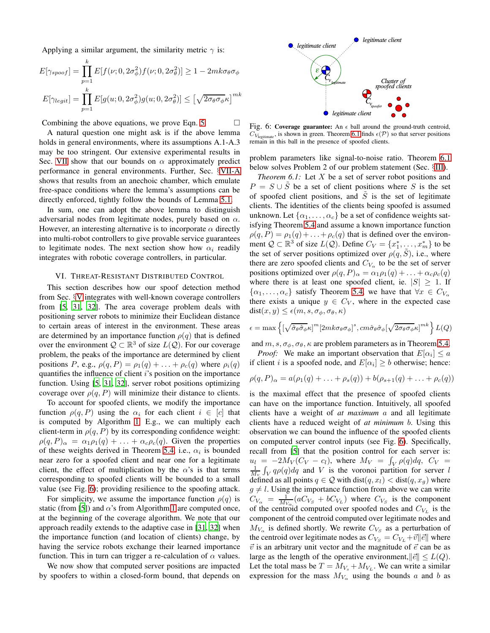Applying a similar argument, the similarity metric  $\gamma$  is:

$$
E[\gamma_{spoof}] = \prod_{p=1}^{k} E[f(\nu; 0, 2\sigma_{\phi}^2) f(\nu; 0, 2\sigma_{\theta}^2)] \ge 1 - 2mk\sigma_{\theta}\sigma_{\phi}
$$

$$
E[\gamma_{legit}] = \prod_{p=1}^{k} E[g(u; 0, 2\sigma_{\phi}^2) g(u; 0, 2\sigma_{\theta}^2)] \le \left[\sqrt{2\sigma_{\theta}\sigma_{\phi}}\kappa\right]^{mk}
$$

Combining the above equations, we prove Eqn. [5.](#page-4-4)  $\Box$ 

A natural question one might ask is if the above lemma holds in general environments, where its assumptions A.1-A.3 may be too stringent. Our extensive experimental results in Sec. [VII](#page-6-1) show that our bounds on  $\alpha$  approximately predict performance in general environments. Further, Sec. §[VII-A](#page-6-0) shows that results from an anechoic chamber, which emulate free-space conditions where the lemma's assumptions can be directly enforced, tightly follow the bounds of Lemma [5.1.](#page-3-4)

In sum, one can adopt the above lemma to distinguish adversarial nodes from legitimate nodes, purely based on  $\alpha$ . However, an interesting alternative is to incorporate  $\alpha$  directly into multi-robot controllers to give provable service guarantees to legitimate nodes. The next section show how  $\alpha_i$  readily integrates with robotic coverage controllers, in particular.

#### <span id="page-5-0"></span>VI. THREAT-RESISTANT DISTRIBUTED CONTROL

This section describes how our spoof detection method from Sec. §[V](#page-3-1) integrates with well-known coverage controllers from [\[5,](#page-8-0) [31,](#page-9-1) [32\]](#page-9-16). The area coverage problem deals with positioning server robots to minimize their Euclidean distance to certain areas of interest in the environment. These areas are determined by an importance function  $\rho(q)$  that is defined over the environment  $Q \subset \mathbb{R}^3$  of size  $L(Q)$ . For our coverage problem, the peaks of the importance are determined by client positions P, e.g.,  $\rho(q, P) = \rho_1(q) + \ldots + \rho_c(q)$  where  $\rho_i(q)$ quantifies the influence of client  $i$ 's position on the importance function. Using [\[5,](#page-8-0) [31,](#page-9-1) [32\]](#page-9-16), server robot positions optimizing coverage over  $\rho(q, P)$  will minimize their distance to clients.

To account for spoofed clients, we modify the importance function  $\rho(q, P)$  using the  $\alpha_i$  for each client  $i \in [c]$  that is computed by Algorithm [1.](#page-4-1) E.g., we can multiply each client-term in  $\rho(q, P)$  by its corresponding confidence weight:  $\rho(q, P)_{\alpha} = \alpha_1 \rho_1(q) + \ldots + \alpha_c \rho_c(q)$ . Given the properties of these weights derived in Theorem [5.4,](#page-4-5) i.e.,  $\alpha_i$  is bounded near zero for a spoofed client and near one for a legitimate client, the effect of multiplication by the  $\alpha$ 's is that terms corresponding to spoofed clients will be bounded to a small value (see Fig. [6\)](#page-5-1); providing resilience to the spoofing attack.

For simplicity, we assume the importance function  $\rho(q)$  is static (from [\[5](#page-8-0)]) and  $\alpha$ 's from Algorithm [1](#page-4-1) are computed once, at the beginning of the coverage algorithm. We note that our approach readily extends to the adaptive case in [\[31](#page-9-1), [32\]](#page-9-16) when the importance function (and location of clients) change, by having the service robots exchange their learned importance function. This in turn can trigger a re-calculation of  $\alpha$  values.

We now show that computed server positions are impacted by spoofers to within a closed-form bound, that depends on

<span id="page-5-1"></span>

Fig. 6: Coverage guarantee: An  $\epsilon$  ball around the ground-truth centroid,  $C_{V_{\text{learning}}}$ , is shown in green. Theorem [6.1](#page-5-2) finds  $\epsilon(\mathcal{P})$  so that server positions remain in this ball in the presence of spoofed clients.

problem parameters like signal-to-noise ratio. Theorem [6.1](#page-5-2) below solves Problem 2 of our problem statement (Sec. §[III\)](#page-1-2).

<span id="page-5-2"></span>*Theorem 6.1:* Let X be a set of server robot positions and  $P = S \cup \tilde{S}$  be a set of client positions where S is the set of spoofed client positions, and  $\tilde{S}$  is the set of legitimate clients. The identities of the clients being spoofed is assumed unknown. Let  $\{\alpha_1, \ldots, \alpha_c\}$  be a set of confidence weights satisfying Theorem [5.4](#page-4-5) and assume a known importance function  $\rho(q, P) = \rho_1(q) + \ldots + \rho_c(q)$  that is defined over the environment  $\mathcal{Q} \subset \mathbb{R}^3$  of size  $L(\mathcal{Q})$ . Define  $C_V = \{x_1^*, \dots, x_m^*\}$  to be the set of server positions optimized over  $\rho(q, S)$ , i.e., where there are zero spoofed clients and  $C_{V_{\alpha}}$  to be the set of server positions optimized over  $\rho(q, P)_{\alpha} = \alpha_1 \rho_1(q) + \ldots + \alpha_c \rho_c(q)$ where there is at least one spoofed client, ie.  $|S| \geq 1$ . If  $\{\alpha_1, \ldots, \alpha_c\}$  satisfy Theorem [5.4,](#page-4-5) we have that  $\forall x \in C_{V_{\alpha}}$ there exists a unique  $y \in C_V$ , where in the expected case  $dist(x, y) \leq \epsilon(m, s, \sigma_{\phi}, \sigma_{\theta}, \kappa)$ 

$$
\epsilon = \max \left\{ \left[ \sqrt{\hat{\sigma}_{\theta} \hat{\sigma}_{\phi}} \kappa \right]^m \left[ 2mk \sigma_{\theta} \sigma_{\phi} \right]^s, cm \hat{\sigma}_{\theta} \hat{\sigma}_{\phi} \left[ \sqrt{2\sigma_{\theta} \sigma_{\phi}} \kappa \right]^{mk} \right\} L(Q)
$$

and  $m, s, \sigma_{\phi}, \sigma_{\theta}, \kappa$  are problem parameters as in Theorem [5.4.](#page-4-5)

*Proof:* We make an important observation that  $E[\alpha_i] \leq a$ if client *i* is a spoofed node, and  $E[\alpha_i] \ge b$  otherwise; hence:

$$
\rho(q, P)_{\alpha} = a(\rho_1(q) + \ldots + \rho_s(q)) + b(\rho_{s+1}(q) + \ldots + \rho_c(q))
$$

is the maximal effect that the presence of spoofed clients can have on the importance function. Intuitively, all spoofed clients have a weight of *at maximum* a and all legitimate clients have a reduced weight of *at minimum* b. Using this observation we can bound the influence of the spoofed clients on computed server control inputs (see Fig. [6\)](#page-5-1). Specifically, recall from [\[5](#page-8-0)] that the position control for each server is:  $u_l = -2M_V(C_V - c_l)$ , where  $M_V = \int_V \rho(q) dq$ ,  $C_V =$  $\frac{1}{M_v} \int_V q \rho(q) dq$  and V is the voronoi partition for server l defined as all points  $q \in \mathcal{Q}$  with  $dist(q, x_l) < dist(q, x_q)$  where  $g \neq l$ . Using the importance function from above we can write  $C_{V_{\alpha}} = \frac{1}{M_{V_{\alpha}}} (aC_{V_{S}} + bC_{V_{L}})$  where  $C_{V_{S}}$  is the component of the centroid computed over spoofed nodes and  $C_{V_L}$  is the component of the centroid computed over legitimate nodes and  $M_{V_{\alpha}}$  is defined shortly. We rewrite  $C_{V_{S}}$  as a perturbation of the centroid over legitimate nodes as  $C_{V_s} = C_{V_L} + \vec{v} || \vec{e} ||$  where  $\vec{v}$  is an arbitrary unit vector and the magnitude of  $\vec{e}$  can be as large as the length of the operative environment,  $\|\vec{e}\| \leq L(Q)$ . Let the total mass be  $T = M_{V_s} + M_{V_L}$ . We can write a similar expression for the mass  $M_{V_{\alpha}}$  using the bounds a and b as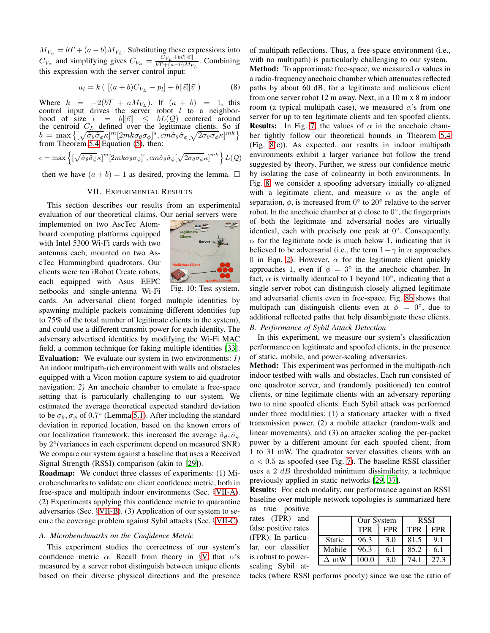$M_{V_{\alpha}} = bT + (a - b)M_{V_L}$ . Substituting these expressions into  $C_{V_{\alpha}}$  and simplifying gives  $C_{V_{\alpha}} = \frac{\tilde{C}_{V_L} + b \vec{v} ||\vec{e}||}{bT + (a - b)M_V}$  $bT + (a-b)M_{V_L}$ . Combining this expression with the server control input:

$$
u_l = k \left( \left[ (a+b)C_{V_L} - p_l \right] + b \|\vec{e}\| \vec{v} \right) \tag{8}
$$

Where  $k = -2(bT + aM_{V_L})$ . If  $(a + b) = 1$ , this control input drives the server robot  $l$  to a neighborhood of size  $\epsilon = b \|\vec{e}\| \leq bL(\mathcal{Q})$  centered around the centroid  $C_L$  defined over the legitimate clients. So if  $b\,=\,\max\big\{[\sqrt{\hat{\sigma}_{\theta}\hat{\sigma}_{\phi}}\kappa]^{m}[2mk\sigma_{\theta}\sigma_{\phi}]^{s},cm\hat{\sigma}_{\theta}\hat{\sigma}_{\phi}[\sqrt{2\sigma_{\theta}\sigma_{\phi}}\kappa]^{mk}\big\}$ from Theorem [5.4](#page-4-5) Equation [\(5\)](#page-4-4), then:

$$
\epsilon = \max \left\{ \left[ \sqrt{\hat{\sigma}_{\theta} \hat{\sigma}_{\phi}} \kappa \right]^m \left[ 2mk \sigma_{\theta} \sigma_{\phi} \right]^s, c m \hat{\sigma}_{\theta} \hat{\sigma}_{\phi} \left[ \sqrt{2 \sigma_{\theta} \sigma_{\phi}} \kappa \right]^{mk} \right\} L(\mathcal{Q})
$$

<span id="page-6-1"></span>then we have  $(a + b) = 1$  as desired, proving the lemma.  $\square$ 

#### VII. EXPERIMENTAL RESULTS

This section describes our results from an experimental evaluation of our theoretical claims. Our aerial servers were

implemented on two AscTec Atomboard computing platforms equipped with Intel 5300 Wi-Fi cards with two antennas each, mounted on two AscTec Hummingbird quadrotors. Our clients were ten iRobot Create robots, each equipped with Asus EEPC netbooks and single-antenna Wi-Fi



Fig. 10: Test system.

cards. An adversarial client forged multiple identities by spawning multiple packets containing different identities (up to 75% of the total number of legitimate clients in the system), and could use a different transmit power for each identity. The adversary advertised identities by modifying the Wi-Fi MAC field, a common technique for faking multiple identities [\[33](#page-9-3)]. Evaluation: We evaluate our system in two environments: *1)* An indoor multipath-rich environment with walls and obstacles equipped with a Vicon motion capture system to aid quadrotor navigation; *2)* An anechoic chamber to emulate a free-space setting that is particularly challenging to our system. We estimated the average theoretical expected standard deviation to be  $\sigma_{\theta}$ ,  $\sigma_{\phi}$  of 0.7° (Lemma [5.1\)](#page-3-4). After including the standard deviation in reported location, based on the known errors of our localization framework, this increased the average  $\hat{\sigma}_{\theta}$ ,  $\hat{\sigma}_{\phi}$ by 2° (variances in each experiment depend on measured SNR) We compare our system against a baseline that uses a Received Signal Strength (RSSI) comparison (akin to [\[29\]](#page-9-11)).

Roadmap: We conduct three classes of experiments: (1) Microbenchmarks to validate our client confidence metric, both in free-space and multipath indoor environments (Sec. §[VII-A\)](#page-6-0). (2) Experiments applying this confidence metric to quarantine adversaries (Sec. §[VII-B\)](#page-6-2). (3) Application of our system to secure the coverage problem against Sybil attacks (Sec. §[VII-C\)](#page-7-0).

### <span id="page-6-0"></span>*A. Microbenchmarks on the Confidence Metric*

This experiment studies the correctness of our system's confidence metric  $\alpha$ . Recall from theory in §[V](#page-3-1) that  $\alpha$ 's measured by a server robot distinguish between unique clients based on their diverse physical directions and the presence of multipath reflections. Thus, a free-space environment (i.e., with no multipath) is particularly challenging to our system.

**Method:** To approximate free-space, we measured  $\alpha$  values in a radio-frequency anechoic chamber which attenuates reflected paths by about 60 dB, for a legitimate and malicious client from one server robot 12 m away. Next, in a 10 m x 8 m indoor room (a typical multipath case), we measured  $\alpha$ 's from one server for up to ten legitimate clients and ten spoofed clients. **Results:** In Fig. [7,](#page-7-1) the values of  $\alpha$  in the anechoic chamber tightly follow our theoretical bounds in Theorem [5.4](#page-4-5) (Fig. [8\(](#page-7-1)c)). As expected, our results in indoor multipath environments exhibit a larger variance but follow the trend suggested by theory. Further, we stress our confidence metric by isolating the case of colinearity in both environments. In Fig. [8,](#page-7-1) we consider a spoofing adversary initially co-aligned with a legitimate client, and measure  $\alpha$  as the angle of separation,  $\phi$ , is increased from  $0^{\circ}$  to  $20^{\circ}$  relative to the server robot. In the anechoic chamber at  $\phi$  close to  $0^{\circ}$ , the fingerprints of both the legitimate and adversarial nodes are virtually identical, each with precisely one peak at  $0^\circ$ . Consequently,  $\alpha$  for the legitimate node is much below 1, indicating that is believed to be adversarial (i.e., the term  $1-\gamma$  in  $\alpha$  approaches 0 in Eqn. [2\)](#page-3-2). However,  $\alpha$  for the legitimate client quickly approaches 1, even if  $\phi = 3^{\circ}$  in the anechoic chamber. In fact,  $\alpha$  is virtually identical to 1 beyond 10 $^{\circ}$ , indicating that a single server robot can distinguish closely aligned legitimate and adversarial clients even in free-space. Fig. [8b](#page-7-1) shows that multipath can distinguish clients even at  $\phi = 0^{\circ}$ , due to additional reflected paths that help disambiguate these clients.

# <span id="page-6-2"></span>*B. Performance of Sybil Attack Detection*

In this experiment, we measure our system's classification performance on legitimate and spoofed clients, in the presence of static, mobile, and power-scaling adversaries.

Method: This experiment was performed in the multipath-rich indoor testbed with walls and obstacles. Each run consisted of one quadrotor server, and (randomly positioned) ten control clients, or nine legitimate clients with an adversary reporting two to nine spoofed clients. Each Sybil attack was performed under three modalities: (1) a stationary attacker with a fixed transmission power, (2) a mobile attacker (random-walk and linear movements), and (3) an attacker scaling the per-packet power by a different amount for each spoofed client, from 1 to 31 mW. The quadrotor server classifies clients with an  $\alpha$  < 0.5 as spoofed (see Fig. [7\)](#page-7-1). The baseline RSSI classifier uses a  $2$  dB thresholded minimum dissimilarity, a technique previously applied in static networks [\[29](#page-9-11), [37\]](#page-9-10).

Results: For each modality, our performance against an RSSI baseline over multiple network topologies is summarized here

as true positive rates (TPR) and false positive rates (FPR). In particular, our classifier is robust to powerscaling Sybil at-

|             | Our System |            | <b>RSSI</b> |            |
|-------------|------------|------------|-------------|------------|
|             | <b>TPR</b> | <b>FPR</b> | <b>TPR</b>  | <b>FPR</b> |
| Static      | 96.3       | 3.0        | 81.5        | 9.1        |
| Mobile      | 96.3       | 6.1        | 85.2        | 6.1        |
| $\Delta$ mW | 100.0      | 3.0        | 74 1        | 273        |

tacks (where RSSI performs poorly) since we use the ratio of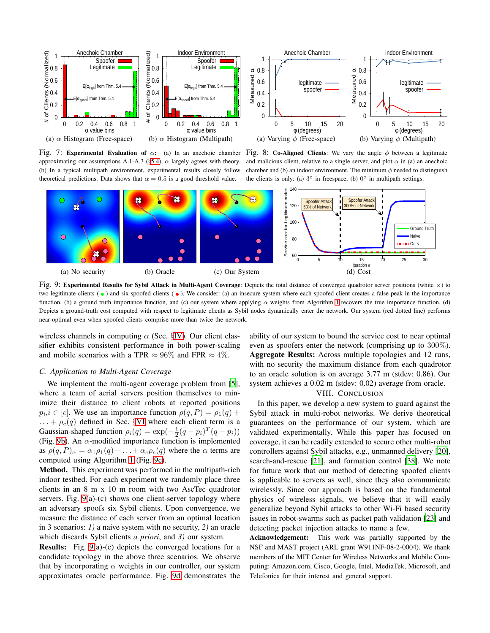<span id="page-7-1"></span>

approximating our assumptions A.1-A.3 (§[5.4\)](#page-4-5),  $\alpha$  largely agrees with theory. (b) In a typical multipath environment, experimental results closely follow theoretical predictions. Data shows that  $\alpha = 0.5$  is a good threshold value.

Fig. 7: Experimental Evaluation of  $\alpha$ : (a) In an anechoic chamber Fig. 8: Co-Aligned Clients: We vary the angle  $\phi$  between a legitimate and malicious client, relative to a single server, and plot  $\alpha$  in (a) an anechoic chamber and (b) an indoor environment. The minimum  $\phi$  needed to distinguish the clients is only: (a)  $3^\circ$  in freespace, (b)  $0^\circ$  in multipath settings.

<span id="page-7-2"></span>

Fig. 9: Experimental Results for Sybil Attack in Multi-Agent Coverage: Depicts the total distance of converged quadrotor server positions (white  $\times$ ) to two legitimate clients  $(\bullet)$  and six spoofed clients  $(\bullet)$ . We consider: (a) an insecure system where each spoofed client creates a false peak in the importance function, (b) a ground truth importance function, and (c) our system where applying  $\alpha$  weights from Algorithm [1](#page-4-1) recovers the true importance function. (d) Depicts a ground-truth cost computed with respect to legitimate clients as Sybil nodes dynamically enter the network. Our system (red dotted line) performs near-optimal even when spoofed clients comprise more than twice the network.

wireless channels in computing  $\alpha$  (Sec. §[IV\)](#page-2-2). Our client classifier exhibits consistent performance in both power-scaling and mobile scenarios with a TPR  $\approx 96\%$  and FPR  $\approx 4\%$ .

#### <span id="page-7-0"></span>*C. Application to Multi-Agent Coverage*

We implement the multi-agent coverage problem from [\[5](#page-8-0)], where a team of aerial servers position themselves to minimize their distance to client robots at reported positions  $p_i, i \in [c]$ . We use an importance function  $\rho(q, P) = \rho_1(q) +$  $\ldots + \rho_c(q)$  defined in Sec. §[VI](#page-5-0) where each client term is a Gaussian-shaped function  $\rho_i(q) = \exp(-\frac{1}{2}(q - p_i)^T(q - p_i))$ (Fig. [9b\)](#page-7-2). An  $\alpha$ -modified importance function is implemented as  $\rho(q, P)_{\alpha} = \alpha_1 \rho_1(q) + \ldots + \alpha_c \rho_c(q)$  where the  $\alpha$  terms are computed using Algorithm [1](#page-4-1) (Fig. [9c\)](#page-7-2).

Method. This experiment was performed in the multipath-rich indoor testbed. For each experiment we randomly place three clients in an 8 m x 10 m room with two AscTec quadrotor servers. Fig. [9\(](#page-7-2)a)-(c) shows one client-server topology where an adversary spoofs six Sybil clients. Upon convergence, we measure the distance of each server from an optimal location in 3 scenarios: *1)* a naive system with no security, *2)* an oracle which discards Sybil clients *a priori*, and *3)* our system.

Results: Fig. [9\(](#page-7-2)a)-(c) depicts the converged locations for a candidate topology in the above three scenarios. We observe that by incorporating  $\alpha$  weights in our controller, our system approximates oracle performance. Fig. [9d](#page-7-2) demonstrates the ability of our system to bound the service cost to near optimal even as spoofers enter the network (comprising up to 300%). Aggregate Results: Across multiple topologies and 12 runs, with no security the maximum distance from each quadrotor to an oracle solution is on average 3.77 m (stdev: 0.86). Our system achieves a 0.02 m (stdev: 0.02) average from oracle.

#### VIII. CONCLUSION

In this paper, we develop a new system to guard against the Sybil attack in multi-robot networks. We derive theoretical guarantees on the performance of our system, which are validated experimentally. While this paper has focused on coverage, it can be readily extended to secure other multi-robot controllers against Sybil attacks, e.g., unmanned delivery [\[20](#page-8-21)], search-and-rescue [\[21](#page-8-22)], and formation control [\[38\]](#page-9-17). We note for future work that our method of detecting spoofed clients is applicable to servers as well, since they also communicate wirelessly. Since our approach is based on the fundamental physics of wireless signals, we believe that it will easily generalize beyond Sybil attacks to other Wi-Fi based security issues in robot-swarms such as packet path validation [\[23\]](#page-8-23) and detecting packet injection attacks to name a few.

Acknowledgement: This work was partially supported by the NSF and MAST project (ARL grant W911NF-08-2-0004). We thank members of the MIT Center for Wireless Networks and Mobile Computing: Amazon.com, Cisco, Google, Intel, MediaTek, Microsoft, and Telefonica for their interest and general support.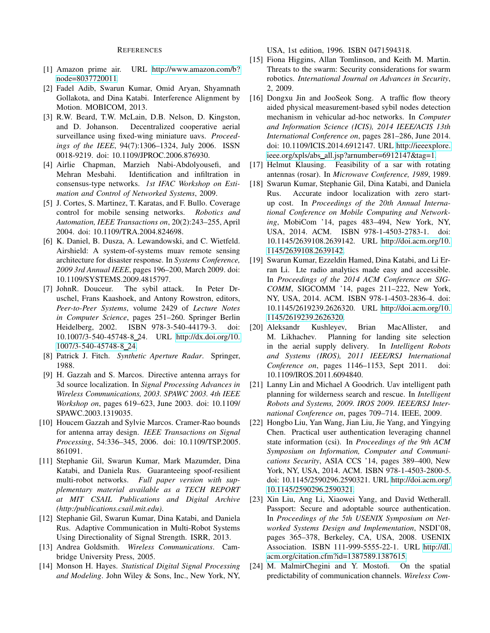#### **REFERENCES**

- <span id="page-8-3"></span>[1] Amazon prime air. URL [http://www.amazon.com/b?](http://www.amazon.com/b?node=8037720011) [node=8037720011.](http://www.amazon.com/b?node=8037720011)
- <span id="page-8-10"></span>[2] Fadel Adib, Swarun Kumar, Omid Aryan, Shyamnath Gollakota, and Dina Katabi. Interference Alignment by Motion. MOBICOM, 2013.
- <span id="page-8-2"></span>[3] R.W. Beard, T.W. McLain, D.B. Nelson, D. Kingston, and D. Johanson. Decentralized cooperative aerial surveillance using fixed-wing miniature uavs. *Proceedings of the IEEE*, 94(7):1306–1324, July 2006. ISSN 0018-9219. doi: 10.1109/JPROC.2006.876930.
- <span id="page-8-11"></span>[4] Airlie Chapman, Marzieh Nabi-Abdolyousefi, and Mehran Mesbahi. Identification and infiltration in consensus-type networks. *1st IFAC Workshop on Estimation and Control of Networked Systems*, 2009.
- <span id="page-8-0"></span>[5] J. Cortes, S. Martinez, T. Karatas, and F. Bullo. Coverage control for mobile sensing networks. *Robotics and Automation, IEEE Transactions on*, 20(2):243–255, April 2004. doi: 10.1109/TRA.2004.824698.
- <span id="page-8-1"></span>[6] K. Daniel, B. Dusza, A. Lewandowski, and C. Wietfeld. Airshield: A system-of-systems muav remote sensing architecture for disaster response. In *Systems Conference, 2009 3rd Annual IEEE*, pages 196–200, March 2009. doi: 10.1109/SYSTEMS.2009.4815797.
- <span id="page-8-5"></span>[7] JohnR. Douceur. The sybil attack. In Peter Druschel, Frans Kaashoek, and Antony Rowstron, editors, *Peer-to-Peer Systems*, volume 2429 of *Lecture Notes in Computer Science*, pages 251–260. Springer Berlin Heidelberg, 2002. ISBN 978-3-540-44179-3. doi: 10.1007/3-540-45748-8 24. URL [http://dx.doi.org/10.](http://dx.doi.org/10.1007/3-540-45748-8_24) [1007/3-540-45748-8](http://dx.doi.org/10.1007/3-540-45748-8_24) 24.
- <span id="page-8-12"></span>[8] Patrick J. Fitch. *Synthetic Aperture Radar*. Springer, 1988.
- <span id="page-8-19"></span>[9] H. Gazzah and S. Marcos. Directive antenna arrays for 3d source localization. In *Signal Processing Advances in Wireless Communications, 2003. SPAWC 2003. 4th IEEE Workshop on*, pages 619–623, June 2003. doi: 10.1109/ SPAWC.2003.1319035.
- <span id="page-8-18"></span>[10] Houcem Gazzah and Sylvie Marcos. Cramer-Rao bounds for antenna array design. *IEEE Transactions on Signal Processing*, 54:336–345, 2006. doi: 10.1109/TSP.2005. 861091.
- <span id="page-8-20"></span>[11] Stephanie Gil, Swarun Kumar, Mark Mazumder, Dina Katabi, and Daniela Rus. Guaranteeing spoof-resilient multi-robot networks. *Full paper version with supplementary material available as a TECH REPORT at MIT CSAIL Publications and Digital Archive (http:/publications.csail.mit.edu)*.
- <span id="page-8-16"></span>[12] Stephanie Gil, Swarun Kumar, Dina Katabi, and Daniela Rus. Adaptive Communication in Multi-Robot Systems Using Directionality of Signal Strength. ISRR, 2013.
- <span id="page-8-6"></span>[13] Andrea Goldsmith. *Wireless Communications*. Cambridge University Press, 2005.
- <span id="page-8-17"></span>[14] Monson H. Hayes. *Statistical Digital Signal Processing and Modeling*. John Wiley & Sons, Inc., New York, NY,

USA, 1st edition, 1996. ISBN 0471594318.

- <span id="page-8-4"></span>[15] Fiona Higgins, Allan Tomlinson, and Keith M. Martin. Threats to the swarm: Security considerations for swarm robotics. *International Journal on Advances in Security*, 2, 2009.
- <span id="page-8-8"></span>[16] Dongxu Jin and JooSeok Song. A traffic flow theory aided physical measurement-based sybil nodes detection mechanism in vehicular ad-hoc networks. In *Computer and Information Science (ICIS), 2014 IEEE/ACIS 13th International Conference on*, pages 281–286, June 2014. doi: 10.1109/ICIS.2014.6912147. URL [http://ieeexplore.](http://ieeexplore.ieee.org/xpls/abs_all.jsp?arnumber=6912147&tag=1) ieee.org/xpls/abs [all.jsp?arnumber=6912147&tag=1.](http://ieeexplore.ieee.org/xpls/abs_all.jsp?arnumber=6912147&tag=1)
- <span id="page-8-13"></span>[17] Helmut Klausing. Feasibility of a sar with rotating antennas (rosar). In *Microwave Conference, 1989*, 1989.
- <span id="page-8-15"></span>[18] Swarun Kumar, Stephanie Gil, Dina Katabi, and Daniela Rus. Accurate indoor localization with zero startup cost. In *Proceedings of the 20th Annual International Conference on Mobile Computing and Networking*, MobiCom '14, pages 483–494, New York, NY, USA, 2014. ACM. ISBN 978-1-4503-2783-1. doi: 10.1145/2639108.2639142. URL [http://doi.acm.org/10.](http://doi.acm.org/10.1145/2639108.2639142) [1145/2639108.2639142.](http://doi.acm.org/10.1145/2639108.2639142)
- <span id="page-8-14"></span>[19] Swarun Kumar, Ezzeldin Hamed, Dina Katabi, and Li Erran Li. Lte radio analytics made easy and accessible. In *Proceedings of the 2014 ACM Conference on SIG-COMM*, SIGCOMM '14, pages 211–222, New York, NY, USA, 2014. ACM. ISBN 978-1-4503-2836-4. doi: 10.1145/2619239.2626320. URL [http://doi.acm.org/10.](http://doi.acm.org/10.1145/2619239.2626320) [1145/2619239.2626320.](http://doi.acm.org/10.1145/2619239.2626320)
- <span id="page-8-21"></span>[20] Aleksandr Kushleyev, Brian MacAllister, and M. Likhachev. Planning for landing site selection in the aerial supply delivery. In *Intelligent Robots and Systems (IROS), 2011 IEEE/RSJ International Conference on*, pages 1146–1153, Sept 2011. doi: 10.1109/IROS.2011.6094840.
- <span id="page-8-22"></span>[21] Lanny Lin and Michael A Goodrich. Uav intelligent path planning for wilderness search and rescue. In *Intelligent Robots and Systems, 2009. IROS 2009. IEEE/RSJ International Conference on*, pages 709–714. IEEE, 2009.
- <span id="page-8-9"></span>[22] Hongbo Liu, Yan Wang, Jian Liu, Jie Yang, and Yingying Chen. Practical user authentication leveraging channel state information (csi). In *Proceedings of the 9th ACM Symposium on Information, Computer and Communications Security*, ASIA CCS '14, pages 389–400, New York, NY, USA, 2014. ACM. ISBN 978-1-4503-2800-5. doi: 10.1145/2590296.2590321. URL [http://doi.acm.org/](http://doi.acm.org/10.1145/2590296.2590321) [10.1145/2590296.2590321.](http://doi.acm.org/10.1145/2590296.2590321)
- <span id="page-8-23"></span>[23] Xin Liu, Ang Li, Xiaowei Yang, and David Wetherall. Passport: Secure and adoptable source authentication. In *Proceedings of the 5th USENIX Symposium on Networked Systems Design and Implementation*, NSDI'08, pages 365–378, Berkeley, CA, USA, 2008. USENIX Association. ISBN 111-999-5555-22-1. URL [http://dl.](http://dl.acm.org/citation.cfm?id=1387589.1387615) [acm.org/citation.cfm?id=1387589.1387615.](http://dl.acm.org/citation.cfm?id=1387589.1387615)
- <span id="page-8-7"></span>[24] M. MalmirChegini and Y. Mostofi. On the spatial predictability of communication channels. *Wireless Com-*